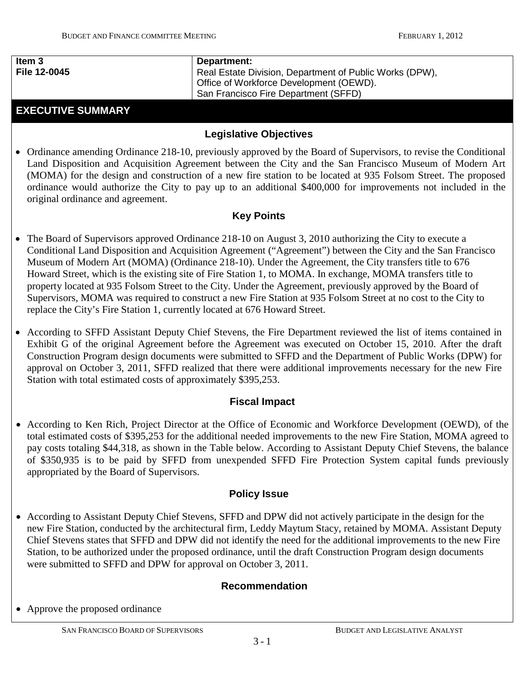### **Item 3 File 12-0045**

### **Department:**

Real Estate Division, Department of Public Works (DPW), Office of Workforce Development (OEWD). San Francisco Fire Department (SFFD)

# **EXECUTIVE SUMMARY**

### **Legislative Objectives**

• Ordinance amending Ordinance 218-10, previously approved by the Board of Supervisors, to revise the Conditional Land Disposition and Acquisition Agreement between the City and the San Francisco Museum of Modern Art (MOMA) for the design and construction of a new fire station to be located at 935 Folsom Street. The proposed ordinance would authorize the City to pay up to an additional \$400,000 for improvements not included in the original ordinance and agreement.

### **Key Points**

- The Board of Supervisors approved Ordinance 218-10 on August 3, 2010 authorizing the City to execute a Conditional Land Disposition and Acquisition Agreement ("Agreement") between the City and the San Francisco Museum of Modern Art (MOMA) (Ordinance 218-10). Under the Agreement, the City transfers title to 676 Howard Street, which is the existing site of Fire Station 1, to MOMA. In exchange, MOMA transfers title to property located at 935 Folsom Street to the City. Under the Agreement, previously approved by the Board of Supervisors, MOMA was required to construct a new Fire Station at 935 Folsom Street at no cost to the City to replace the City's Fire Station 1, currently located at 676 Howard Street.
- According to SFFD Assistant Deputy Chief Stevens, the Fire Department reviewed the list of items contained in Exhibit G of the original Agreement before the Agreement was executed on October 15, 2010. After the draft Construction Program design documents were submitted to SFFD and the Department of Public Works (DPW) for approval on October 3, 2011, SFFD realized that there were additional improvements necessary for the new Fire Station with total estimated costs of approximately \$395,253.

## **Fiscal Impact**

• According to Ken Rich, Project Director at the Office of Economic and Workforce Development (OEWD), of the total estimated costs of \$395,253 for the additional needed improvements to the new Fire Station, MOMA agreed to pay costs totaling \$44,318, as shown in the Table below. According to Assistant Deputy Chief Stevens, the balance of \$350,935 is to be paid by SFFD from unexpended SFFD Fire Protection System capital funds previously appropriated by the Board of Supervisors.

### **Policy Issue**

• According to Assistant Deputy Chief Stevens, SFFD and DPW did not actively participate in the design for the new Fire Station, conducted by the architectural firm, Leddy Maytum Stacy, retained by MOMA. Assistant Deputy Chief Stevens states that SFFD and DPW did not identify the need for the additional improvements to the new Fire Station, to be authorized under the proposed ordinance, until the draft Construction Program design documents were submitted to SFFD and DPW for approval on October 3, 2011.

## **Recommendation**

• Approve the proposed ordinance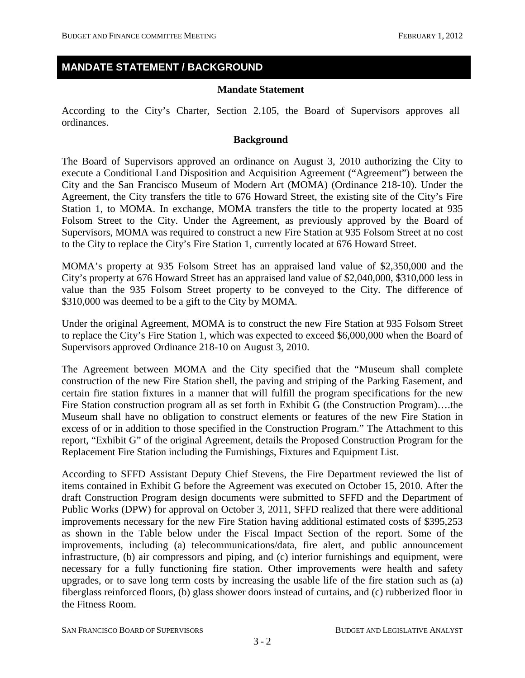### **MANDATE STATEMENT / BACKGROUND**

### **Mandate Statement**

According to the City's Charter, Section 2.105, the Board of Supervisors approves all ordinances.

### **Background**

The Board of Supervisors approved an ordinance on August 3, 2010 authorizing the City to execute a Conditional Land Disposition and Acquisition Agreement ("Agreement") between the City and the San Francisco Museum of Modern Art (MOMA) (Ordinance 218-10). Under the Agreement, the City transfers the title to 676 Howard Street, the existing site of the City's Fire Station 1, to MOMA. In exchange, MOMA transfers the title to the property located at 935 Folsom Street to the City. Under the Agreement, as previously approved by the Board of Supervisors, MOMA was required to construct a new Fire Station at 935 Folsom Street at no cost to the City to replace the City's Fire Station 1, currently located at 676 Howard Street.

MOMA's property at 935 Folsom Street has an appraised land value of \$2,350,000 and the City's property at 676 Howard Street has an appraised land value of \$2,040,000, \$310,000 less in value than the 935 Folsom Street property to be conveyed to the City. The difference of \$310,000 was deemed to be a gift to the City by MOMA.

Under the original Agreement, MOMA is to construct the new Fire Station at 935 Folsom Street to replace the City's Fire Station 1, which was expected to exceed \$6,000,000 when the Board of Supervisors approved Ordinance 218-10 on August 3, 2010.

The Agreement between MOMA and the City specified that the "Museum shall complete construction of the new Fire Station shell, the paving and striping of the Parking Easement, and certain fire station fixtures in a manner that will fulfill the program specifications for the new Fire Station construction program all as set forth in Exhibit G (the Construction Program)….the Museum shall have no obligation to construct elements or features of the new Fire Station in excess of or in addition to those specified in the Construction Program." The Attachment to this report, "Exhibit G" of the original Agreement, details the Proposed Construction Program for the Replacement Fire Station including the Furnishings, Fixtures and Equipment List.

According to SFFD Assistant Deputy Chief Stevens, the Fire Department reviewed the list of items contained in Exhibit G before the Agreement was executed on October 15, 2010. After the draft Construction Program design documents were submitted to SFFD and the Department of Public Works (DPW) for approval on October 3, 2011, SFFD realized that there were additional improvements necessary for the new Fire Station having additional estimated costs of \$395,253 as shown in the Table below under the Fiscal Impact Section of the report. Some of the improvements, including (a) telecommunications/data, fire alert, and public announcement infrastructure, (b) air compressors and piping, and (c) interior furnishings and equipment, were necessary for a fully functioning fire station. Other improvements were health and safety upgrades, or to save long term costs by increasing the usable life of the fire station such as (a) fiberglass reinforced floors, (b) glass shower doors instead of curtains, and (c) rubberized floor in the Fitness Room.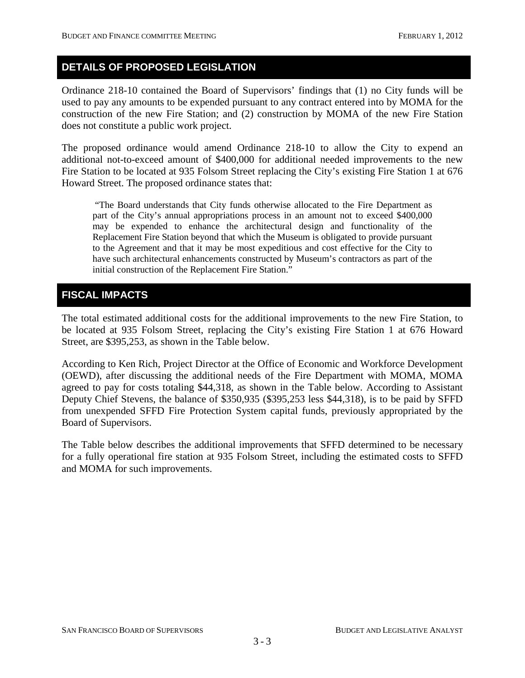## **DETAILS OF PROPOSED LEGISLATION**

Ordinance 218-10 contained the Board of Supervisors' findings that (1) no City funds will be used to pay any amounts to be expended pursuant to any contract entered into by MOMA for the construction of the new Fire Station; and (2) construction by MOMA of the new Fire Station does not constitute a public work project.

The proposed ordinance would amend Ordinance 218-10 to allow the City to expend an additional not-to-exceed amount of \$400,000 for additional needed improvements to the new Fire Station to be located at 935 Folsom Street replacing the City's existing Fire Station 1 at 676 Howard Street. The proposed ordinance states that:

"The Board understands that City funds otherwise allocated to the Fire Department as part of the City's annual appropriations process in an amount not to exceed \$400,000 may be expended to enhance the architectural design and functionality of the Replacement Fire Station beyond that which the Museum is obligated to provide pursuant to the Agreement and that it may be most expeditious and cost effective for the City to have such architectural enhancements constructed by Museum's contractors as part of the initial construction of the Replacement Fire Station."

# **FISCAL IMPACTS**

The total estimated additional costs for the additional improvements to the new Fire Station, to be located at 935 Folsom Street, replacing the City's existing Fire Station 1 at 676 Howard Street, are \$395,253, as shown in the Table below.

According to Ken Rich, Project Director at the Office of Economic and Workforce Development (OEWD), after discussing the additional needs of the Fire Department with MOMA, MOMA agreed to pay for costs totaling \$44,318, as shown in the Table below. According to Assistant Deputy Chief Stevens, the balance of \$350,935 (\$395,253 less \$44,318), is to be paid by SFFD from unexpended SFFD Fire Protection System capital funds, previously appropriated by the Board of Supervisors.

The Table below describes the additional improvements that SFFD determined to be necessary for a fully operational fire station at 935 Folsom Street, including the estimated costs to SFFD and MOMA for such improvements.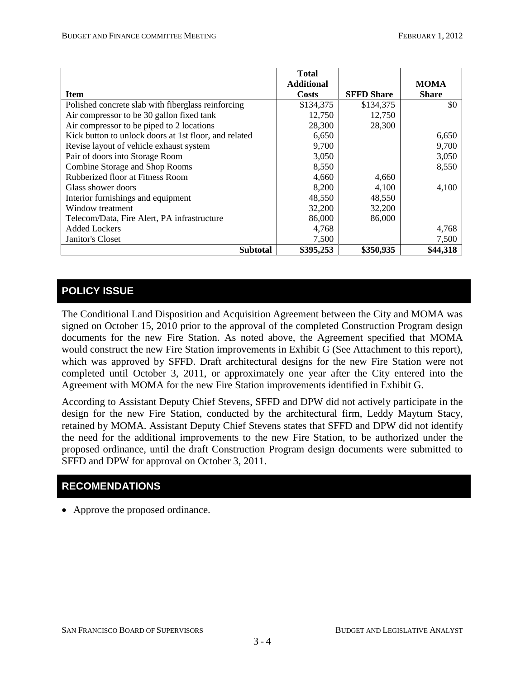|                                                       | <b>Total</b>      |                   |              |
|-------------------------------------------------------|-------------------|-------------------|--------------|
|                                                       | <b>Additional</b> |                   | <b>MOMA</b>  |
| <b>Item</b>                                           | Costs             | <b>SFFD Share</b> | <b>Share</b> |
| Polished concrete slab with fiberglass reinforcing    | \$134,375         | \$134,375         | \$0          |
| Air compressor to be 30 gallon fixed tank             | 12,750            | 12,750            |              |
| Air compressor to be piped to 2 locations             | 28,300            | 28,300            |              |
| Kick button to unlock doors at 1st floor, and related | 6,650             |                   | 6,650        |
| Revise layout of vehicle exhaust system               | 9,700             |                   | 9,700        |
| Pair of doors into Storage Room                       | 3,050             |                   | 3,050        |
| Combine Storage and Shop Rooms                        | 8,550             |                   | 8,550        |
| Rubberized floor at Fitness Room                      | 4,660             | 4,660             |              |
| Glass shower doors                                    | 8,200             | 4,100             | 4,100        |
| Interior furnishings and equipment                    | 48,550            | 48,550            |              |
| Window treatment                                      | 32,200            | 32,200            |              |
| Telecom/Data, Fire Alert, PA infrastructure           | 86,000            | 86,000            |              |
| <b>Added Lockers</b>                                  | 4,768             |                   | 4,768        |
| Janitor's Closet                                      | 7,500             |                   | 7,500        |
| <b>Subtotal</b>                                       | \$395,253         | \$350,935         | \$44,318     |

# **POLICY ISSUE**

The Conditional Land Disposition and Acquisition Agreement between the City and MOMA was signed on October 15, 2010 prior to the approval of the completed Construction Program design documents for the new Fire Station. As noted above, the Agreement specified that MOMA would construct the new Fire Station improvements in Exhibit G (See Attachment to this report), which was approved by SFFD. Draft architectural designs for the new Fire Station were not completed until October 3, 2011, or approximately one year after the City entered into the Agreement with MOMA for the new Fire Station improvements identified in Exhibit G.

According to Assistant Deputy Chief Stevens, SFFD and DPW did not actively participate in the design for the new Fire Station, conducted by the architectural firm, Leddy Maytum Stacy, retained by MOMA. Assistant Deputy Chief Stevens states that SFFD and DPW did not identify the need for the additional improvements to the new Fire Station, to be authorized under the proposed ordinance, until the draft Construction Program design documents were submitted to SFFD and DPW for approval on October 3, 2011.

## **RECOMENDATIONS**

• Approve the proposed ordinance.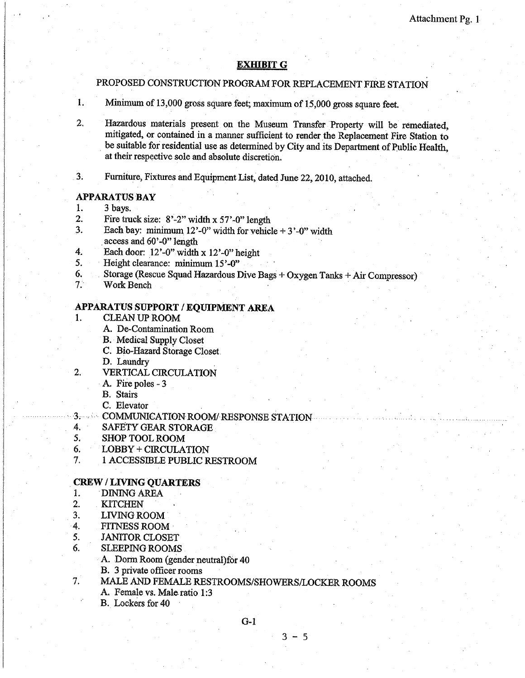### **EXHIBIT G**

PROPOSED CONSTRUCTION PROGRAM FOR REPLACEMENT FIRE STATION

- 1. Minimum of 13,000 gross square feet; maximum of 15,000 gross square feet.
- 2. Hazardous materials present on the Museum Transfer Property will be remediated, mitigated, or contained in a manner sufficient to render the Replacement Fire Station to be suitable for residential use as determined by City and its Department of Public Health. at their respective sole and absolute discretion.
- $3<sub>i</sub>$ Furniture, Fixtures and Equipment List, dated June 22, 2010, attached.

#### **APPARATUS BAY**

- 3 bays. 1.
- 2. Fire truck size:  $8'-2$ " width x 57'-0" length
- 3. Each bay: minimum 12'-0" width for vehicle  $+3$ '-0" width access and 60'-0" length
- $\overline{4}$ . Each door:  $12'-0''$  width x  $12'-0''$  height
- Height clearance: minimum 15'-0" 5.
- 6. Storage (Rescue Squad Hazardous Dive Bags + Oxygen Tanks + Air Compressor)
- $7.$ Work Bench

### APPARATUS SUPPORT / EQUIPMENT AREA

- 1. **CLEAN UP ROOM** 
	- A. De-Contamination Room
	- **B.** Medical Supply Closet
	- C. Bio-Hazard Storage Closet.
	- D. Laundry
- **VERTICAL CIRCULATION** 2.
	- A. Fire poles 3

**B.** Stairs

C. Elevator

- COMMUNICATION ROOM/RESPONSE STATION- $3$  . The set of  $3$
- $4.$ SAFETY GEAR STORAGE
- 5. **SHOP TOOL ROOM**
- 6. LOBBY + CIRCULATION
- 7. 1 ACCESSIBLE PUBLIC RESTROOM

#### **CREW/LIVING OUARTERS**

- $1.$ **DINING AREA**
- $\overline{2}$ . **KITCHEN**

7.

- $3<sub>1</sub>$ LIVING ROOM
- $4.$ **FITNESS ROOM**
- 5. **JANITOR CLOSET**
- 6. **SLEEPING ROOMS** 
	- A. Dorm Room (gender neutral) for 40
	- B. 3 private officer rooms
	- MALE AND FEMALE RESTROOMS/SHOWERS/LOCKER ROOMS
		- A. Female vs. Male ratio 1:3
		- B. Lockers for 40

 $G-1$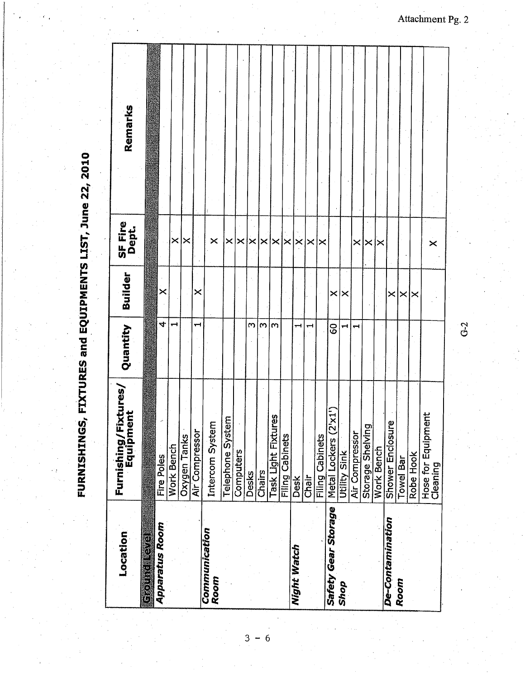|                       | FURNISHIN                         |           |                       |                         | GS, FIXTURES and EQUIPMENTS LIST, June 22, 2010 |
|-----------------------|-----------------------------------|-----------|-----------------------|-------------------------|-------------------------------------------------|
| Location              | Furnishing/Fixtures,<br>Equipment | Quantity  | Builder               | SF Fire<br>Dept.        | Remarks                                         |
|                       |                                   |           |                       |                         |                                                 |
| <b>Apparatus Room</b> | Fire Poles                        | $\vec{v}$ | $\boldsymbol{\times}$ |                         |                                                 |
|                       | <b>Work Bench</b>                 |           |                       | ×                       |                                                 |
|                       | Oxygen Tanks                      |           |                       | $\boldsymbol{\times}$   |                                                 |
|                       | Air Compressor                    | ┯┥        | ×                     |                         |                                                 |
| Communication<br>Room | Intercom System                   |           |                       | $\boldsymbol{\times}$   |                                                 |
|                       | Telephone System                  |           |                       | ×                       |                                                 |
|                       | Computers                         |           |                       | $\boldsymbol{\times}$   |                                                 |
|                       | Desks                             | m         |                       | $\overline{\mathsf{x}}$ |                                                 |
|                       | Chairs                            | $\omega$  |                       | $\times$                |                                                 |
|                       | ures<br>Task Light Fixt           | m         |                       | $\times$                |                                                 |
|                       | <b>Filing Cabinets</b>            |           |                       | $\times$                |                                                 |
| Night Watch           | <b>Desk</b>                       |           |                       | ×,                      |                                                 |
|                       | Chair                             | ⊶         |                       | ×                       |                                                 |
|                       | <b>Filing Cabinets</b>            |           |                       | ∣×                      |                                                 |
| Safety Gear Storage   | (2'x1')<br>Metal Lockers          | <b>S</b>  | $\times$              |                         |                                                 |
| Shop                  | Utility Sink                      |           | $\times$              |                         |                                                 |
|                       | Air Compresso                     | ⊣         |                       | ×                       |                                                 |
|                       | Storage Shelving                  |           |                       | ×                       |                                                 |
|                       | Work Bench                        |           |                       | ∣×                      |                                                 |
| De-Contamination      | Shower Enclosure                  |           | $\times$              |                         |                                                 |
| Room                  | <b>Towel Bar</b>                  |           | $\times$              |                         |                                                 |
|                       | Robe Hook                         |           | ×                     |                         |                                                 |
|                       | Hose for Equipment<br>Cleaning    |           |                       | $\boldsymbol{\times}$   |                                                 |
|                       |                                   |           |                       |                         |                                                 |

Attachment Pg. 2

 $G-2$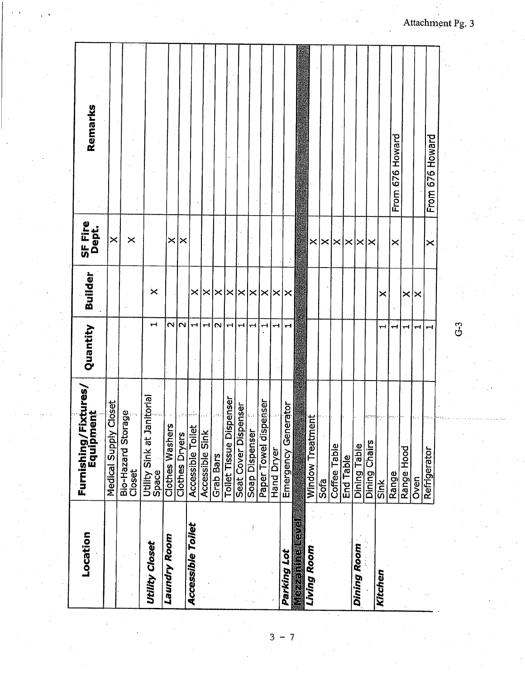| Location                 | Furnishing/Fixtures/<br>Equipment      | Quantity             | <b>Builder</b>             | SF Fire<br>Dept.      | Remarks         |
|--------------------------|----------------------------------------|----------------------|----------------------------|-----------------------|-----------------|
|                          | Closet<br>Medical Supply               |                      |                            | $\times$              |                 |
|                          | Bio-Hazard Storage<br>Closet           |                      |                            | $\times$              |                 |
| <b>Utility Closet</b>    | nitoria<br>Utility Sink at Ja<br>Space | ᆔ                    | $\boldsymbol{\times}$      |                       |                 |
| Laundry Room             | <b>Clothes Washers</b>                 | $\mathbf{\tilde{c}}$ |                            | $\boldsymbol{\times}$ |                 |
|                          | Clothes Dryers                         | $\sim$               |                            | . ×                   |                 |
| <b>Accessible Toilet</b> | Accessible Toilet                      | ٣Ĥ                   | $\times$                   |                       |                 |
|                          | Accessible Sink                        | ᆔ                    | ×                          |                       |                 |
|                          | <b>Grab Bars</b>                       | $\mathbf{\sim}$      | $\times$                   |                       |                 |
|                          | penser<br><b>Toilet Tissue Dis</b>     | ٣H                   | $\vert \times \vert$       |                       |                 |
|                          | Seat Cover Dispenser                   | ᆏ                    |                            |                       |                 |
|                          | Soap Dispenser                         | H                    | $\times$ $\times$ $\times$ |                       |                 |
|                          | Paper Towel dispenser                  |                      |                            |                       |                 |
|                          | Hand Dryer                             | ┅                    | $\times$ $\times$ $\times$ |                       |                 |
| Parking Lot              | Emergency Generator                    | <b>TH</b>            |                            |                       |                 |
|                          |                                        |                      |                            |                       |                 |
| Living Room              | <b>Window Treatment</b>                |                      |                            | ×                     |                 |
|                          | Sofa                                   |                      |                            | ×                     |                 |
|                          | Coffee Table                           |                      |                            | $\boldsymbol{\times}$ |                 |
|                          | End Table                              |                      |                            | ✕                     |                 |
| Dining Room              | Dining Table                           |                      |                            | $\times$              |                 |
|                          | Dining Chairs                          |                      |                            | ×                     |                 |
| Kitchen                  | Sink                                   | ᆔ                    | ×                          |                       |                 |
|                          | Range<br>Range Hood                    | ᆔ                    |                            | $\times$              | From 676 Howard |
|                          |                                        | ᆏ                    | $\times$ $\times$          |                       |                 |
|                          | Oven <sup>-</sup>                      | ᆏ                    |                            |                       |                 |
|                          | Refrigerator                           |                      |                            | ×                     | From 676 Howard |
|                          |                                        |                      |                            |                       |                 |

Attachment Pg. 3

 $G-3$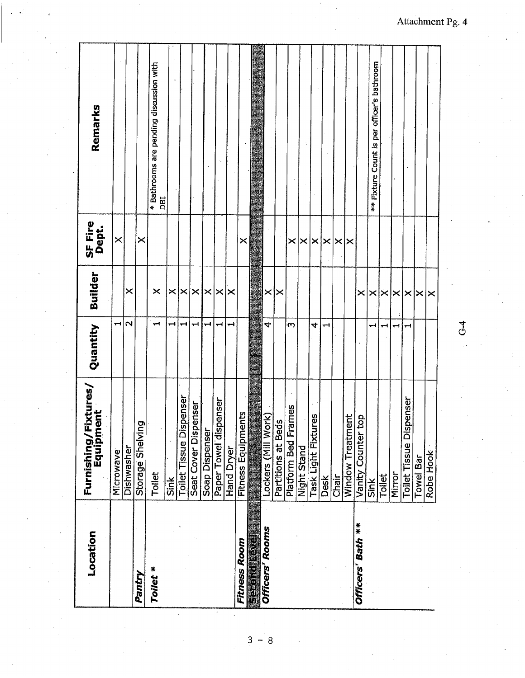| Location            | Furnishing/Fixtures/<br>Equipment | Quantity              | Builder                    | SF Fire<br>Dept.            | Remarks                                        |
|---------------------|-----------------------------------|-----------------------|----------------------------|-----------------------------|------------------------------------------------|
|                     | Microwave                         | $\blacktriangleright$ |                            | $\pmb{\times}$              |                                                |
|                     | Dishwasher                        | $\mathbf{\Omega}$     | ×                          |                             |                                                |
| Pantry              | Storage Shelving                  |                       |                            | ×                           |                                                |
| Toilet *            | Toilet                            | $\blacksquare$        | $\times$                   |                             | * Bathrooms are pending discussion with<br>DBI |
|                     | Sink                              | ᅯ                     | $\times$                   |                             |                                                |
|                     | <b>Toilet Tissue Dispenser</b>    | ᅱ                     | ×                          |                             |                                                |
|                     | enser<br>Seat Cover Disp          | ᆔ                     | $\times$                   |                             |                                                |
|                     | Soap Dispenser                    | ⊶                     | $\times$                   |                             |                                                |
|                     | Paper Towel dispenser             | ᆋ                     | $\times$                   |                             |                                                |
|                     | Hand Dryer                        | $\ddot{}$             | ✕                          |                             |                                                |
| <b>Fitness Room</b> | <b>Fitness Equipments</b>         |                       |                            | ×                           |                                                |
|                     |                                   |                       |                            |                             |                                                |
| Officers' Rooms     | )rk)<br>Lockers (Mill Wo          | 4                     | $\times$                   |                             |                                                |
|                     | Partitions at Beds                |                       | ✕                          |                             |                                                |
|                     | Platform Bed Frames               | $\infty$              |                            | $\times$                    |                                                |
|                     | Night Stand                       |                       |                            |                             |                                                |
|                     | res<br>Task Light Fixtu           | 4                     |                            | $\left \times\right \times$ |                                                |
|                     | Desk                              | ᆔ                     |                            | $\boldsymbol{\times}$       |                                                |
|                     | Chair                             |                       |                            | $\times$   $\times$         |                                                |
|                     | <b>Window Treatment</b>           |                       |                            |                             |                                                |
| Officers' Bath **   | qo.<br>Vanity Counter t           |                       | $\boldsymbol{\times}$      |                             |                                                |
|                     | Sink                              | ᆋ                     |                            |                             | ** Fixture Count is per officer's bathroom     |
|                     | Toilet                            | −1                    | $\times$ $\times$ $\times$ |                             |                                                |
|                     | Mirror                            | ⊣                     | l×l×                       |                             |                                                |
|                     | <b>Toilet Tissue Dispenser</b>    |                       |                            |                             |                                                |
|                     | Towel Bar                         |                       | $\boldsymbol{\times}$      |                             |                                                |
|                     | Robe Hook                         |                       | ∣×                         |                             |                                                |
|                     |                                   |                       |                            |                             |                                                |

Attachment Pg. 4

 $G<sub>4</sub>$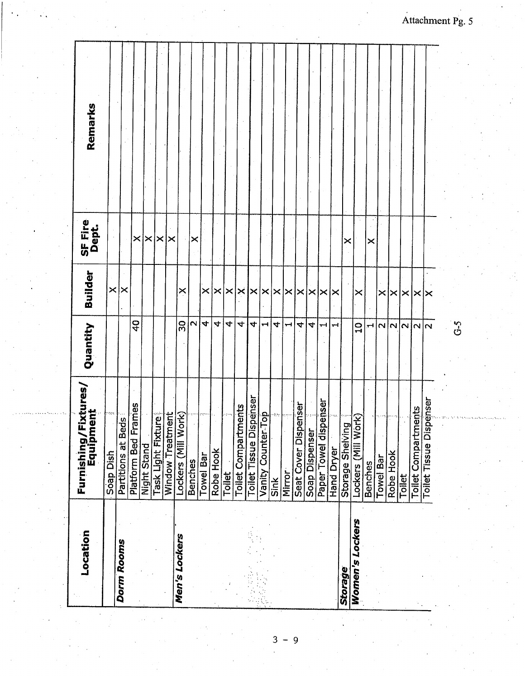| Location               | Furnishing/Fixtures/<br>Equipment | Quantity                       | <b>Builder</b>                         | SF Fire<br>Dept. | Remarks |  |
|------------------------|-----------------------------------|--------------------------------|----------------------------------------|------------------|---------|--|
|                        | Soap Dish                         |                                | $\pmb{\times}$                         |                  |         |  |
| <b>Dorm Rooms</b>      | Partitions at Beds                |                                | ×                                      |                  |         |  |
|                        | Platform Bed Frames               | $\frac{1}{2}$                  |                                        | ×                |         |  |
|                        | Night Stand                       |                                |                                        | $\times$         |         |  |
|                        | Task Light Fixture                |                                |                                        | ×                |         |  |
|                        | <b>Window Treatment</b>           |                                |                                        | ×                |         |  |
| Men's Lockers          | Lockers (Mill Work)               | ႙ၟ                             | ×                                      |                  |         |  |
|                        | <b>Benches</b>                    | N                              |                                        | ×                |         |  |
|                        | Towel Bar                         | 4                              | $\times$                               |                  |         |  |
|                        | Robe Hook                         | $\vec{v}$                      | $\times$                               |                  |         |  |
|                        | Toilet                            | 4                              | $\times$                               |                  |         |  |
|                        | <b>Toilet Compartments</b>        | 4                              | ×                                      |                  |         |  |
|                        | penser<br>Toilet Tissue Dis       | $\blacktriangledown$           | ×                                      |                  |         |  |
|                        | <u>Top</u><br>Vanity Counter.     | ↔                              |                                        |                  |         |  |
|                        | Sink                              | 4                              | $ \mathsf{x}  \mathsf{x}   \mathsf{x}$ |                  |         |  |
|                        | Mirror <sup>.</sup>               | $\mathbf{\mathbf{\mathbf{H}}}$ |                                        |                  |         |  |
|                        | Seat Cover Dispenser              | 4                              | ∤≍                                     |                  |         |  |
|                        | Soap Dispenser                    | 4                              | $\times$                               |                  |         |  |
|                        | <b>iesger</b><br>Paper Towel disp | ᅱ                              | ×                                      |                  |         |  |
|                        | <b>Hand Dryer</b>                 | ⊣                              | ×                                      |                  |         |  |
| Storage                | Storage Shelving                  |                                |                                        | ×                |         |  |
| <b>Women's Lockers</b> | Lockers (Mill Work)               | $\frac{1}{1}$                  | $\times$                               |                  |         |  |
|                        | Benches                           | ᆏ                              |                                        | ×                |         |  |
|                        | <b>Towel Bar</b>                  | $\mathbf{\Omega}$              | $\times$                               |                  |         |  |
|                        | Robe Hook                         | $\overline{\mathsf{N}}$        | $\boldsymbol{\times}$                  |                  |         |  |
|                        | Toilet                            | $\sim$                         | $\boldsymbol{\times}$                  |                  |         |  |
|                        | ents<br>Toilet Compartm           | N <sub>N</sub>                 | l×l×                                   |                  |         |  |
|                        | <b>Toilet Tissue Dispenser</b>    |                                |                                        |                  |         |  |
|                        |                                   |                                |                                        |                  |         |  |

 $G-5$ 

 $\mathbf{3}$  $-9$